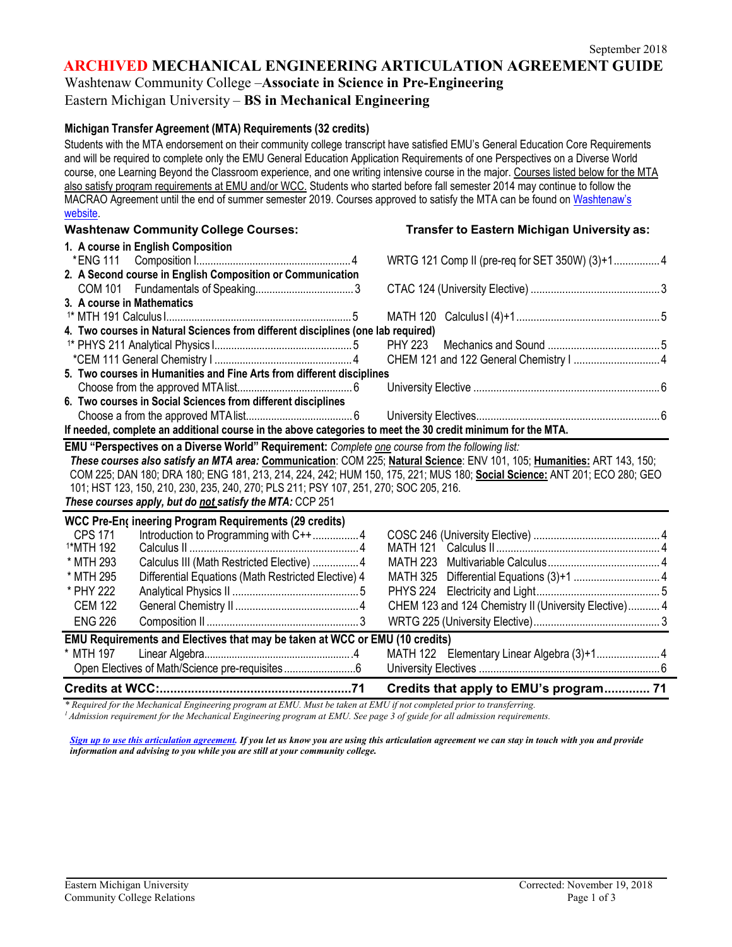**ARCHIVED MECHANICAL ENGINEERING ARTICULATION AGREEMENT GUIDE**

Washtenaw Community College –**Associate in Science in Pre-Engineering**

Eastern Michigan University – **BS in Mechanical Engineering**

### **Michigan Transfer Agreement (MTA) Requirements (32 credits)**

Students with the MTA endorsement on their community college transcript have satisfied EMU's General Education Core Requirements and will be required to complete only the EMU General Education Application Requirements of one Perspectives on a Diverse World course, one Learning Beyond the Classroom experience, and one writing intensive course in the major. Courses listed below for the MTA also satisfy program requirements at EMU and/or WCC. Students who started before fall semester 2014 may continue to follow the MACRAO Agreement until the end of summer semester 2019. Courses approved to satisfy the MTA can be found o[n Washtenaw's](http://www.wccnet.edu/services/transferresources/mta/) [website.](http://www.wccnet.edu/services/transferresources/mta/)

| <b>Washtenaw Community College Courses:</b>                                                                               | Transfer to Eastern Michigan University as:           |
|---------------------------------------------------------------------------------------------------------------------------|-------------------------------------------------------|
| 1. A course in English Composition                                                                                        |                                                       |
|                                                                                                                           | WRTG 121 Comp II (pre-req for SET 350W) (3)+14        |
| 2. A Second course in English Composition or Communication                                                                |                                                       |
|                                                                                                                           |                                                       |
| 3. A course in Mathematics                                                                                                |                                                       |
|                                                                                                                           |                                                       |
| 4. Two courses in Natural Sciences from different disciplines (one lab required)                                          | <b>PHY 223</b>                                        |
|                                                                                                                           |                                                       |
| 5. Two courses in Humanities and Fine Arts from different disciplines                                                     | CHEM 121 and 122 General Chemistry I  4               |
|                                                                                                                           |                                                       |
| 6. Two courses in Social Sciences from different disciplines                                                              |                                                       |
|                                                                                                                           |                                                       |
| If needed, complete an additional course in the above categories to meet the 30 credit minimum for the MTA.               |                                                       |
| EMU "Perspectives on a Diverse World" Requirement: Complete one course from the following list:                           |                                                       |
| These courses also satisfy an MTA area: Communication: COM 225; Natural Science: ENV 101, 105; Humanities: ART 143, 150;  |                                                       |
| COM 225; DAN 180; DRA 180; ENG 181, 213, 214, 224, 242; HUM 150, 175, 221; MUS 180; Social Science: ANT 201; ECO 280; GEO |                                                       |
| 101; HST 123, 150, 210, 230, 235, 240, 270; PLS 211; PSY 107, 251, 270; SOC 205, 216.                                     |                                                       |
| These courses apply, but do not satisfy the MTA: CCP 251                                                                  |                                                       |
| <b>WCC Pre-Engineering Program Requirements (29 credits)</b>                                                              |                                                       |
| <b>CPS 171</b><br>Introduction to Programming with C++  4                                                                 |                                                       |
| <sup>1*</sup> MTH 192                                                                                                     |                                                       |
| Calculus III (Math Restricted Elective)  4<br>* MTH 293                                                                   | MATH 223                                              |
| Differential Equations (Math Restricted Elective) 4<br>* MTH 295                                                          |                                                       |
| * PHY 222                                                                                                                 |                                                       |
| <b>CEM 122</b>                                                                                                            | CHEM 123 and 124 Chemistry II (University Elective) 4 |
| <b>ENG 226</b>                                                                                                            |                                                       |
| EMU Requirements and Electives that may be taken at WCC or EMU (10 credits)                                               |                                                       |
| * MTH 197                                                                                                                 | MATH 122 Elementary Linear Algebra (3)+14             |
|                                                                                                                           |                                                       |
|                                                                                                                           |                                                       |

\* Required for the Mechanical Engineering program at EMU. Must be taken at EMU if not completed prior to transferring.

 $^1$  Admission requirement for the Mechanical Engineering program at EMU. See page 3 of guide for all admission requirements.

*[Sign up to use this articulation agreement. I](http://www.emich.edu/ccr/articulation-agreements/signup.php)f you let us know you are using this articulation agreement we can stay in touch with you and provide information and advising to you while you are still at your community college.*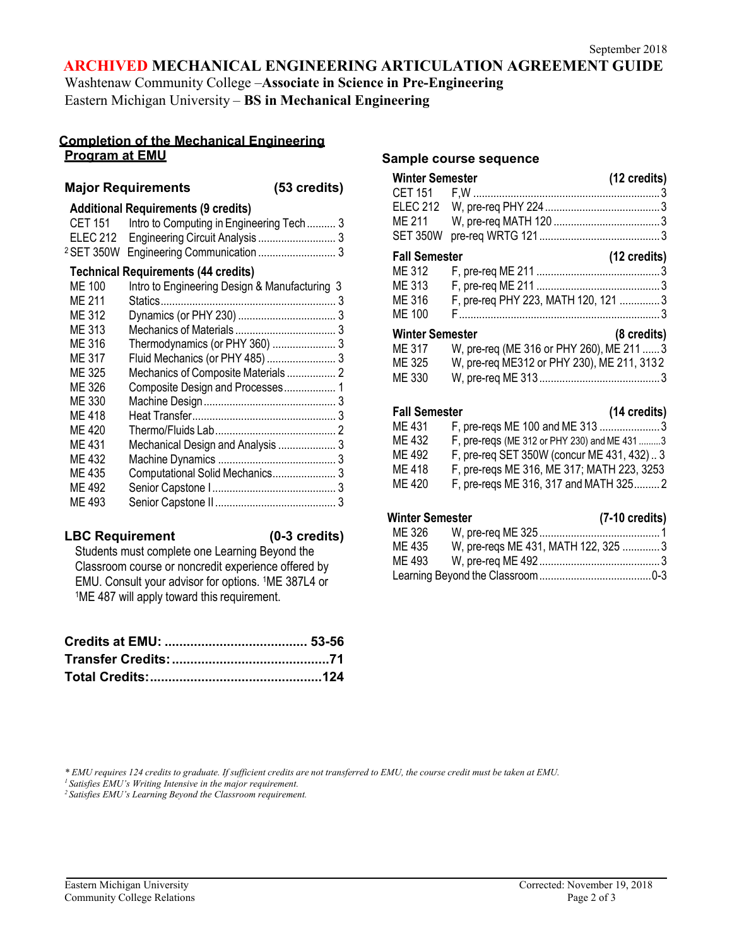## **ARCHIVED MECHANICAL ENGINEERING ARTICULATION AGREEMENT GUIDE**

Washtenaw Community College –**Associate in Science in Pre-Engineering** Eastern Michigan University – **BS in Mechanical Engineering**

#### **Completion of the Mechanical Engineering Program at EMU**

### **Major Requirements (53 credits)**

| <b>CET 151</b><br><b>ELEC 212</b><br>2 SET 350W | Intro to Computing in Engineering Tech 3<br>Engineering Communication  3 |  |
|-------------------------------------------------|--------------------------------------------------------------------------|--|
|                                                 | <b>Technical Requirements (44 credits)</b>                               |  |
| ME 100                                          | Intro to Engineering Design & Manufacturing 3                            |  |
| ME 211                                          |                                                                          |  |
| ME 312                                          |                                                                          |  |
| ME 313                                          |                                                                          |  |
| ME 316                                          | Thermodynamics (or PHY 360)  3                                           |  |
| ME 317                                          |                                                                          |  |
| ME 325                                          |                                                                          |  |
| ME 326                                          | Composite Design and Processes 1                                         |  |
| ME 330                                          |                                                                          |  |
| ME 418                                          |                                                                          |  |
| ME 420                                          |                                                                          |  |
| ME 431                                          | Mechanical Design and Analysis  3                                        |  |
| ME 432                                          |                                                                          |  |
| ME 435                                          | Computational Solid Mechanics 3                                          |  |
| ME 492                                          |                                                                          |  |
| ME 493                                          |                                                                          |  |
|                                                 |                                                                          |  |

## **LBC Requirement (0-3 credits)**

Students must complete one Learning Beyond the Classroom course or noncredit experience offered by EMU. Consult your advisor for options. 1ME 387L4 or 1ME 487 will apply toward this requirement.

## **Sample course sequence**

| <b>Winter Semester</b> |                                                                        | $(12 \text{ credits})$ |
|------------------------|------------------------------------------------------------------------|------------------------|
| <b>ELEC 212</b>        |                                                                        |                        |
| ME 211                 |                                                                        |                        |
| <b>SET 350W</b>        |                                                                        |                        |
| <b>Fall Semester</b>   |                                                                        | $(12 \text{ credits})$ |
| ME 312                 |                                                                        |                        |
| ME 313                 |                                                                        |                        |
| ME 316                 | F, pre-req PHY 223, MATH 120, 121 3                                    |                        |
| ME 100                 |                                                                        |                        |
| <b>Winter Semester</b> |                                                                        | (8 credits)            |
| ME 317                 | W, pre-req (ME 316 or PHY 260), ME 211  3                              |                        |
| ME 325                 | W, pre-req ME312 or PHY 230), ME 211, 3132                             |                        |
| ME 330                 |                                                                        |                        |
| <b>Fall Semester</b>   |                                                                        | $(14 \text{ credits})$ |
| ME 431                 | F, pre-reqs ME 100 and ME 313 3                                        |                        |
| ME 432                 | F, pre-reqs (ME 312 or PHY 230) and ME 431 3                           |                        |
| <b>ME 400</b>          | $\Gamma$ $\Omega \Gamma T \Omega T \Omega M / I$ $M \Gamma A \Omega A$ |                        |

| ME 432 | F, pre-reqs (ME 312 or PHY 230) and ME 431 3 |
|--------|----------------------------------------------|
| ME 492 | F, pre-req SET 350W (concur ME 431, 432)3    |
| ME 418 | F, pre-regs ME 316, ME 317; MATH 223, 3253   |
| ME 420 | F, pre-regs ME 316, 317 and MATH 3252        |

## **Winter Semester (7-10 credits)**

| ME 326 |                                     |  |
|--------|-------------------------------------|--|
| ME 435 | W, pre-regs ME 431, MATH 122, 325 3 |  |
|        |                                     |  |
|        |                                     |  |

\* EMU requires 124 credits to graduate. If sufficient credits are not transferred to EMU, the course credit must be taken at EMU.

*<sup>1</sup> Satisfies EMU's Writing Intensive in the major requirement.*